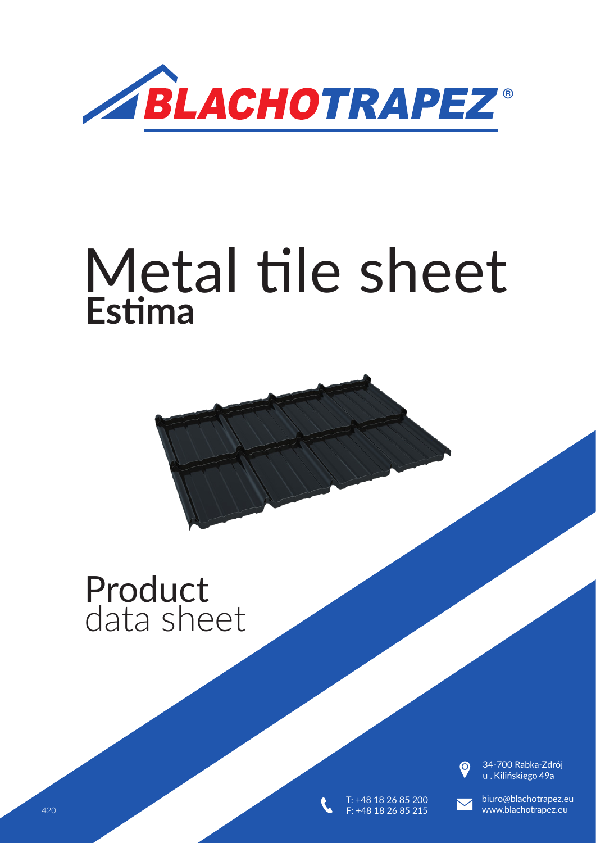

# **Estima** Metal tile sheet

## Product data sheet



34-700 Rabka-Zdrój<br>ul. Kilińskiego 49a



T: +48 18 26 85 200 F: +48 18 26 85 215

biuro@blachotrapez.eu 420 5 www.blachotrapez.eu and the set of the set of the set of the set of the set of the set of the set of the set of the set of the set of the set of the set of the set of the set of the set of the set of the set of the s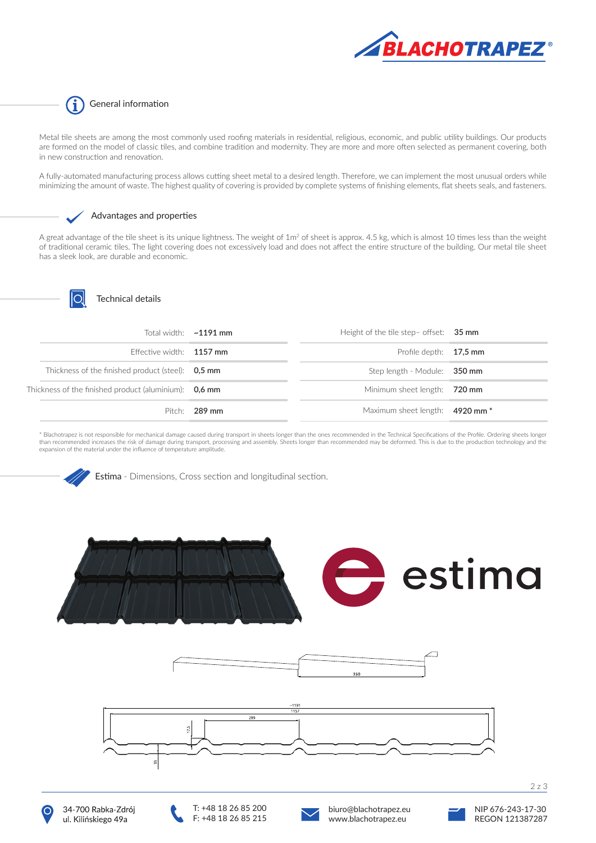

#### G General information

Metal tile sheets are among the most commonly used roofing materials in residential, religious, economic, and public utility buildings. Our products are formed on the model of classic tiles, and combine tradition and modernity. They are more and more often selected as permanent covering, both in new construction and renovation.

A fully-automated manufacturing process allows cutting sheet metal to a desired length. Therefore, we can implement the most unusual orders while minimizing the amount of waste. The highest quality of covering is provided by complete systems of finishing elements, flat sheets seals, and fasteners.



#### Advantages and properties

A great advantage of the tile sheet is its unique lightness. The weight of 1m<sup>2</sup> of sheet is approx. 4.5 kg, which is almost 10 times less than the weight of traditional ceramic tiles. The light covering does not excessively load and does not affect the entire structure of the building. Our metal tile sheet has a sleek look, are durable and economic.



#### Technical details

|  |                                                       | Total width: $\sim$ 1191 mm | Height of the tile step- offset: 35 mm |  |
|--|-------------------------------------------------------|-----------------------------|----------------------------------------|--|
|  | Effective width: $1157$ mm                            |                             | Profile depth: 17.5 mm                 |  |
|  | Thickness of the finished product (steel): 0.5 mm     |                             | Step length - Module: 350 mm           |  |
|  | Thickness of the finished product (aluminium): 0,6 mm |                             | Minimum sheet length: 720 mm           |  |
|  |                                                       | Pitch: $289$ mm             | Maximum sheet length: 4920 mm *        |  |

\* Blachotrapez is not responsible for mechanical damage caused during transport in sheets longer than the ones recommended in the Technical Specifications of the Profile. Ordering sheets longer than recommended increases the risk of damage during transport, processing and assembly. Sheets longer than recommended may be deformed. This is due to the production technology and the expansion of the material under the influence of temperature amplitude.

Estima - Dimensions, Cross section and longitudinal section.















2 z 3